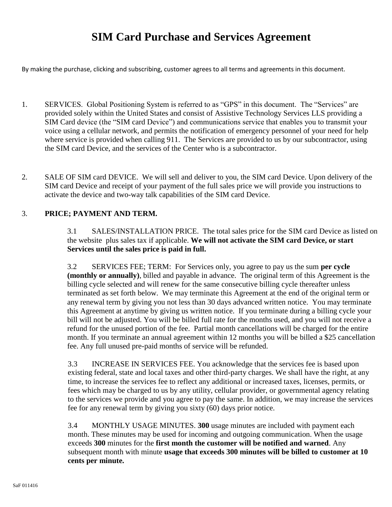# **SIM Card Purchase and Services Agreement**

By making the purchase, clicking and subscribing, customer agrees to all terms and agreements in this document.

- 1. SERVICES. Global Positioning System is referred to as "GPS" in this document. The "Services" are provided solely within the United States and consist of Assistive Technology Services LLS providing a SIM Card device (the "SIM card Device") and communications service that enables you to transmit your voice using a cellular network, and permits the notification of emergency personnel of your need for help where service is provided when calling 911. The Services are provided to us by our subcontractor, using the SIM card Device, and the services of the Center who is a subcontractor.
- 2. SALE OF SIM card DEVICE. We will sell and deliver to you, the SIM card Device. Upon delivery of the SIM card Device and receipt of your payment of the full sales price we will provide you instructions to activate the device and two-way talk capabilities of the SIM card Device.

#### 3. **PRICE; PAYMENT AND TERM.**

3.1 SALES/INSTALLATION PRICE. The total sales price for the SIM card Device as listed on the website plus sales tax if applicable. **We will not activate the SIM card Device, or start Services until the sales price is paid in full.**

3.2 SERVICES FEE; TERM: For Services only, you agree to pay us the sum **per cycle (monthly or annually)**, billed and payable in advance. The original term of this Agreement is the billing cycle selected and will renew for the same consecutive billing cycle thereafter unless terminated as set forth below. We may terminate this Agreement at the end of the original term or any renewal term by giving you not less than 30 days advanced written notice. You may terminate this Agreement at anytime by giving us written notice. If you terminate during a billing cycle your bill will not be adjusted. You will be billed full rate for the months used, and you will not receive a refund for the unused portion of the fee. Partial month cancellations will be charged for the entire month. If you terminate an annual agreement within 12 months you will be billed a \$25 cancellation fee. Any full unused pre-paid months of service will be refunded.

3.3 INCREASE IN SERVICES FEE. You acknowledge that the services fee is based upon existing federal, state and local taxes and other third-party charges. We shall have the right, at any time, to increase the services fee to reflect any additional or increased taxes, licenses, permits, or fees which may be charged to us by any utility, cellular provider, or governmental agency relating to the services we provide and you agree to pay the same. In addition, we may increase the services fee for any renewal term by giving you sixty (60) days prior notice.

3.4 MONTHLY USAGE MINUTES. **300** usage minutes are included with payment each month. These minutes may be used for incoming and outgoing communication. When the usage exceeds **300** minutes for the **first month the customer will be notified and warned**. Any subsequent month with minute **usage that exceeds 300 minutes will be billed to customer at 10 cents per minute.**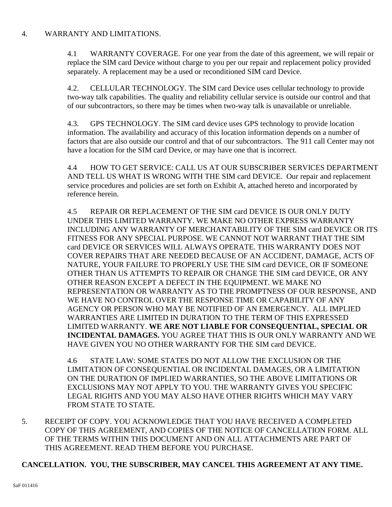# 4. WARRANTY AND LIMITATIONS.

4.1 WARRANTY COVERAGE. For one year from the date of this agreement, we will repair or replace the SIM card Device without charge to you per our repair and replacement policy provided separately. A replacement may be a used or reconditioned SIM card Device.

4.2. CELLULAR TECHNOLOGY. The SIM card Device uses cellular technology to provide two-way talk capabilities. The quality and reliability cellular service is outside our control and that of our subcontractors, so there may be times when two-way talk is unavailable or unreliable.

4.3. GPS TECHNOLOGY. The SIM card device uses GPS technology to provide location information. The availability and accuracy of this location information depends on a number of factors that are also outside our control and that of our subcontractors. The 911 call Center may not have a location for the SIM card Device, or may have one that is incorrect.

4.4 HOW TO GET SERVICE: CALL US AT OUR SUBSCRIBER SERVICES DEPARTMENT AND TELL US WHAT IS WRONG WITH THE SIM card DEVICE. Our repair and replacement service procedures and policies are set forth on Exhibit A, attached hereto and incorporated by reference herein.

4.5 REPAIR OR REPLACEMENT OF THE SIM card DEVICE IS OUR ONLY DUTY UNDER THIS LIMITED WARRANTY. WE MAKE NO OTHER EXPRESS WARRANTY INCLUDING ANY WARRANTY OF MERCHANTABILITY OF THE SIM card DEVICE OR ITS FITNESS FOR ANY SPECIAL PURPOSE. WE CANNOT NOT WARRANT THAT THE SIM card DEVICE OR SERVICES WILL ALWAYS OPERATE. THIS WARRANTY DOES NOT COVER REPAIRS THAT ARE NEEDED BECAUSE OF AN ACCIDENT, DAMAGE, ACTS OF NATURE, YOUR FAILURE TO PROPERLY USE THE SIM card DEVICE, OR IF SOMEONE OTHER THAN US ATTEMPTS TO REPAIR OR CHANGE THE SIM card DEVICE, OR ANY OTHER REASON EXCEPT A DEFECT IN THE EQUIPMENT. WE MAKE NO REPRESENTATION OR WARRANTY AS TO THE PROMPTNESS OF OUR RESPONSE, AND WE HAVE NO CONTROL OVER THE RESPONSE TIME OR CAPABILITY OF ANY AGENCY OR PERSON WHO MAY BE NOTIFIED OF AN EMERGENCY. ALL IMPLIED WARRANTIES ARE LIMITED IN DURATION TO THE TERM OF THIS EXPRESSED LIMITED WARRANTY. **WE ARE NOT LIABLE FOR CONSEQUENTIAL, SPECIAL OR INCIDENTAL DAMAGES.** YOU AGREE THAT THIS IS OUR ONLY WARRANTY AND WE HAVE GIVEN YOU NO OTHER WARRANTY FOR THE SIM card DEVICE.

4.6 STATE LAW: SOME STATES DO NOT ALLOW THE EXCLUSION OR THE LIMITATION OF CONSEQUENTIAL OR INCIDENTAL DAMAGES, OR A LIMITATION ON THE DURATION OF IMPLIED WARRANTIES, SO THE ABOVE LIMITATIONS OR EXCLUSIONS MAY NOT APPLY TO YOU. THE WARRANTY GIVES YOU SPECIFIC LEGAL RIGHTS AND YOU MAY ALSO HAVE OTHER RIGHTS WHICH MAY VARY FROM STATE TO STATE.

5. RECEIPT OF COPY. YOU ACKNOWLEDGE THAT YOU HAVE RECEIVED A COMPLETED COPY OF THIS AGREEMENT, AND COPIES OF THE NOTICE OF CANCELLATION FORM. ALL OF THE TERMS WITHIN THIS DOCUMENT AND ON ALL ATTACHMENTS ARE PART OF THIS AGREEMENT. READ THEM BEFORE YOU PURCHASE.

# **CANCELLATION. YOU, THE SUBSCRIBER, MAY CANCEL THIS AGREEMENT AT ANY TIME.**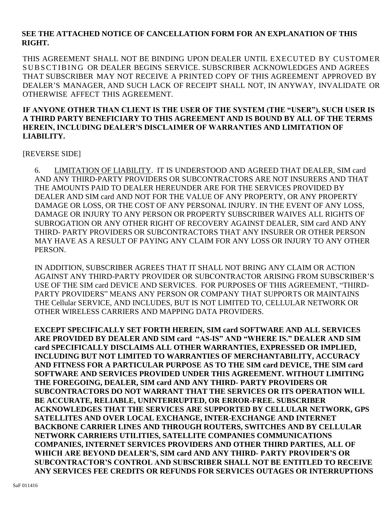## **SEE THE ATTACHED NOTICE OF CANCELLATION FORM FOR AN EXPLANATION OF THIS RIGHT.**

THIS AGREEMENT SHALL NOT BE BINDING UPON DEALER UNTIL EXECUTED BY CUSTOMER SUB SCTIBING OR DEALER BEGINS SERVICE. SUBSCRIBER ACKNOWLEDGES AND AGREES THAT SUBSCRIBER MAY NOT RECEIVE A PRINTED COPY OF THIS AGREEMENT APPROVED BY DEALER'S MANAGER, AND SUCH LACK OF RECEIPT SHALL NOT, IN ANYWAY, INVALIDATE OR OTHERWISE AFFECT THIS AGREEMENT.

#### **IF ANYONE OTHER THAN CLIENT IS THE USER OF THE SYSTEM (THE "USER"), SUCH USER IS A THIRD PARTY BENEFICIARY TO THIS AGREEMENT AND IS BOUND BY ALL OF THE TERMS HEREIN, INCLUDING DEALER'S DISCLAIMER OF WARRANTIES AND LIMITATION OF LIABILITY.**

[REVERSE SIDE]

6. LIMITATION OF LIABILITY. IT IS UNDERSTOOD AND AGREED THAT DEALER, SIM card AND ANY THIRD-PARTY PROVIDERS OR SUBCONTRACTORS ARE NOT INSURERS AND THAT THE AMOUNTS PAID TO DEALER HEREUNDER ARE FOR THE SERVICES PROVIDED BY DEALER AND SIM card AND NOT FOR THE VALUE OF ANY PROPERTY, OR ANY PROPERTY DAMAGE OR LOSS, OR THE COST OF ANY PERSONAL INJURY. IN THE EVENT OF ANY LOSS, DAMAGE OR INJURY TO ANY PERSON OR PROPERTY SUBSCRIBER WAIVES ALL RIGHTS OF SUBROGATION OR ANY OTHER RIGHT OF RECOVERY AGAINST DEALER, SIM card AND ANY THIRD- PARTY PROVIDERS OR SUBCONTRACTORS THAT ANY INSURER OR OTHER PERSON MAY HAVE AS A RESULT OF PAYING ANY CLAIM FOR ANY LOSS OR INJURY TO ANY OTHER PERSON.

IN ADDITION, SUBSCRIBER AGREES THAT IT SHALL NOT BRING ANY CLAIM OR ACTION AGAINST ANY THIRD-PARTY PROVIDER OR SUBCONTRACTOR ARISING FROM SUBSCRIBER'S USE OF THE SIM card DEVICE AND SERVICES. FOR PURPOSES OF THIS AGREEMENT, "THIRD-PARTY PROVIDERS" MEANS ANY PERSON OR COMPANY THAT SUPPORTS OR MAINTAINS THE Cellular SERVICE, AND INCLUDES, BUT IS NOT LIMITED TO, CELLULAR NETWORK OR OTHER WIRELESS CARRIERS AND MAPPING DATA PROVIDERS.

**EXCEPT SPECIFICALLY SET FORTH HEREIN, SIM card SOFTWARE AND ALL SERVICES ARE PROVIDED BY DEALER AND SIM card "AS-IS" AND "WHERE IS." DEALER AND SIM card SPECIFICALLY DISCLAIMS ALL OTHER WARRANTIES, EXPRESSED OR IMPLIED, INCLUDING BUT NOT LIMITED TO WARRANTIES OF MERCHANTABILITY, ACCURACY AND FITNESS FOR A PARTICULAR PURPOSE AS TO THE SIM card DEVICE, THE SIM card SOFTWARE AND SERVICES PROVIDED UNDER THIS AGREEMENT. WITHOUT LIMITING THE FOREGOING, DEALER, SIM card AND ANY THIRD- PARTY PROVIDERS OR SUBCONTRACTORS DO NOT WARRANT THAT THE SERVICES OR ITS OPERATION WILL BE ACCURATE, RELIABLE, UNINTERRUPTED, OR ERROR-FREE. SUBSCRIBER ACKNOWLEDGES THAT THE SERVICES ARE SUPPORTED BY CELLULAR NETWORK, GPS SATELLITES AND OVER LOCAL EXCHANGE, INTER-EXCHANGE AND INTERNET BACKBONE CARRIER LINES AND THROUGH ROUTERS, SWITCHES AND BY CELLULAR NETWORK CARRIERS UTILITIES, SATELLITE COMPANIES COMMUNICATIONS COMPANIES, INTERNET SERVICES PROVIDERS AND OTHER THIRD PARTIES, ALL OF WHICH ARE BEYOND DEALER'S, SIM card AND ANY THIRD- PARTY PROVIDER'S OR SUBCONTRACTOR'S CONTROL AND SUBSCRIBER SHALL NOT BE ENTITLED TO RECEIVE ANY SERVICES FEE CREDITS OR REFUNDS FOR SERVICES OUTAGES OR INTERRUPTIONS**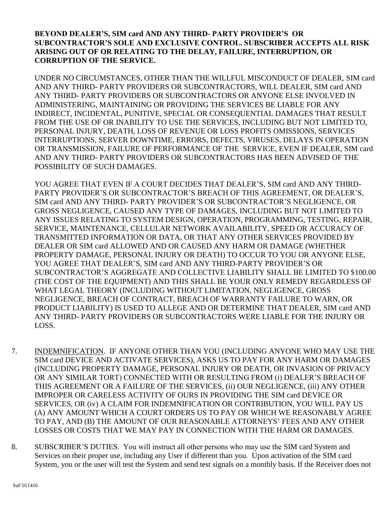## **BEYOND DEALER'S, SIM card AND ANY THIRD- PARTY PROVIDER'S OR SUBCONTRACTOR'S SOLE AND EXCLUSIVE CONTROL. SUBSCRIBER ACCEPTS ALL RISK ARISING OUT OF OR RELATING TO THE DELAY, FAILURE, INTERRUPTION, OR CORRUPTION OF THE SERVICE.**

UNDER NO CIRCUMSTANCES, OTHER THAN THE WILLFUL MISCONDUCT OF DEALER, SIM card AND ANY THIRD- PARTY PROVIDERS OR SUBCONTRACTORS, WILL DEALER, SIM card AND ANY THIRD- PARTY PROVIDERS OR SUBCONTRACTORS OR ANYONE ELSE INVOLVED IN ADMINISTERING, MAINTAINING OR PROVIDING THE SERVICES BE LIABLE FOR ANY INDIRECT, INCIDENTAL, PUNITIVE, SPECIAL OR CONSEQUENTIAL DAMAGES THAT RESULT FROM THE USE OF OR INABILITY TO USE THE SERVICES, INCLUDING BUT NOT LIMITED TO, PERSONAL INJURY, DEATH, LOSS OF REVENUE OR LOSS PROFITS OMISSIONS, SERVICES INTERRUPTIONS, SERVER DOWNTIME, ERRORS, DEFECTS, VIRUSES, DELAYS IN OPERATION OR TRANSMISSION, FAILURE OF PERFORMANCE OF THE SERVICE, EVEN IF DEALER, SIM card AND ANY THIRD- PARTY PROVIDERS OR SUBCONTRACTORS HAS BEEN ADVISED OF THE POSSIBILITY OF SUCH DAMAGES.

YOU AGREE THAT EVEN IF A COURT DECIDES THAT DEALER'S, SIM card AND ANY THIRD-PARTY PROVIDER'S OR SUBCONTRACTOR'S BREACH OF THIS AGREEMENT, OR DEALER'S, SIM card AND ANY THIRD- PARTY PROVIDER'S OR SUBCONTRACTOR'S NEGLIGENCE, OR GROSS NEGLIGENCE, CAUSED ANY TYPE OF DAMAGES, INCLUDING BUT NOT LIMITED TO ANY ISSUES RELATING TO SYSTEM DESIGN, OPERATION, PROGRAMMING, TESTING, REPAIR, SERVICE, MAINTENANCE, CELLULAR NETWORK AVAILABILITY, SPEED OR ACCURACY OF TRANSMITTED INFORMATION OR DATA, OR THAT ANY OTHER SERVICES PROVIDED BY DEALER OR SIM card ALLOWED AND OR CAUSED ANY HARM OR DAMAGE (WHETHER PROPERTY DAMAGE, PERSONAL INJURY OR DEATH) TO OCCUR TO YOU OR ANYONE ELSE, YOU AGREE THAT DEALER'S, SIM card AND ANY THIRD-PARTY PROVIDER'S OR SUBCONTRACTOR'S AGGREGATE AND COLLECTIVE LIABILITY SHALL BE LIMITED TO \$100.00 (THE COST OF THE EQUIPMENT) AND THIS SHALL BE YOUR ONLY REMEDY REGARDLESS OF WHAT LEGAL THEORY (INCLUDING WITHOUT LIMITATION, NEGLIGENCE, GROSS NEGLIGENCE, BREACH OF CONTRACT, BREACH OF WARRANTY FAILURE TO WARN, OR PRODUCT LIABILITY) IS USED TO ALLEGE AND OR DETERMINE THAT DEALER, SIM card AND ANY THIRD- PARTY PROVIDERS OR SUBCONTRACTORS WERE LIABLE FOR THE INJURY OR LOSS.

- 7. INDEMNIFICATION. IF ANYONE OTHER THAN YOU (INCLUDING ANYONE WHO MAY USE THE SIM card DEVICE AND ACTIVATE SERVICES), ASKS US TO PAY FOR ANY HARM OR DAMAGES (INCLUDING PROPERTY DAMAGE, PERSONAL INJURY OR DEATH, OR INVASION OF PRIVACY OR ANY SIMILAR TORT) CONNECTED WITH OR RESULTING FROM (i) DEALER'S BREACH OF THIS AGREEMENT OR A FAILURE OF THE SERVICES, (ii) OUR NEGLIGENCE, (iii) ANY OTHER IMPROPER OR CARELESS ACTIVITY OF OURS IN PROVIDING THE SIM card DEVICE OR SERVICES, OR (iv) A CLAIM FOR INDEMNIFICATION OR CONTRIBUTION, YOU WILL PAY US (A) ANY AMOUNT WHICH A COURT ORDERS US TO PAY OR WHICH WE REASONABLY AGREE TO PAY, AND (B) THE AMOUNT OF OUR REASONABLE ATTORNEYS' FEES AND ANY OTHER LOSSES OR COSTS THAT WE MAY PAY IN CONNECTION WITH THE HARM OR DAMAGES.
- 8. SUBSCRIBER'S DUTIES. You will instruct all other persons who may use the SIM card System and Services on their proper use, including any User if different than you. Upon activation of the SIM card System, you or the user will test the System and send test signals on a monthly basis. If the Receiver does not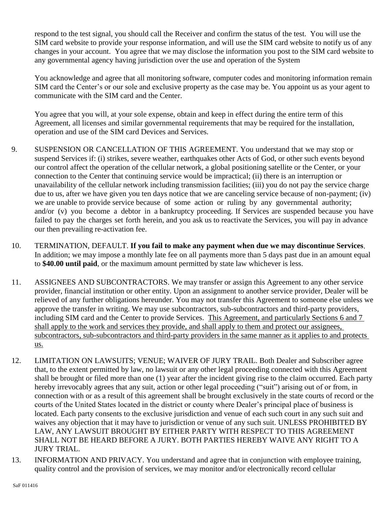respond to the test signal, you should call the Receiver and confirm the status of the test. You will use the SIM card website to provide your response information, and will use the SIM card website to notify us of any changes in your account. You agree that we may disclose the information you post to the SIM card website to any governmental agency having jurisdiction over the use and operation of the System

You acknowledge and agree that all monitoring software, computer codes and monitoring information remain SIM card the Center's or our sole and exclusive property as the case may be. You appoint us as your agent to communicate with the SIM card and the Center.

You agree that you will, at your sole expense, obtain and keep in effect during the entire term of this Agreement, all licenses and similar governmental requirements that may be required for the installation, operation and use of the SIM card Devices and Services.

- 9. SUSPENSION OR CANCELLATION OF THIS AGREEMENT. You understand that we may stop or suspend Services if: (i) strikes, severe weather, earthquakes other Acts of God, or other such events beyond our control affect the operation of the cellular network, a global positioning satellite or the Center, or your connection to the Center that continuing service would be impractical; (ii) there is an interruption or unavailability of the cellular network including transmission facilities; (iii) you do not pay the service charge due to us, after we have given you ten days notice that we are canceling service because of non-payment; (iv) we are unable to provide service because of some action or ruling by any governmental authority; and/or (v) you become a debtor in a bankruptcy proceeding. If Services are suspended because you have failed to pay the charges set forth herein, and you ask us to reactivate the Services, you will pay in advance our then prevailing re-activation fee.
- 10. TERMINATION, DEFAULT. **If you fail to make any payment when due we may discontinue Services**. In addition; we may impose a monthly late fee on all payments more than 5 days past due in an amount equal to **\$40.00 until paid**, or the maximum amount permitted by state law whichever is less.
- 11. ASSIGNEES AND SUBCONTRACTORS. We may transfer or assign this Agreement to any other service provider, financial institution or other entity. Upon an assignment to another service provider, Dealer will be relieved of any further obligations hereunder. You may not transfer this Agreement to someone else unless we approve the transfer in writing. We may use subcontractors, sub-subcontractors and third-party providers, including SIM card and the Center to provide Services. This Agreement, and particularly Sections 6 and 7 shall apply to the work and services they provide, and shall apply to them and protect our assignees, subcontractors, sub-subcontractors and third-party providers in the same manner as it applies to and protects us.
- 12. LIMITATION ON LAWSUITS; VENUE; WAIVER OF JURY TRAIL. Both Dealer and Subscriber agree that, to the extent permitted by law, no lawsuit or any other legal proceeding connected with this Agreement shall be brought or filed more than one (1) year after the incident giving rise to the claim occurred. Each party hereby irrevocably agrees that any suit, action or other legal proceeding ("suit") arising out of or from, in connection with or as a result of this agreement shall be brought exclusively in the state courts of record or the courts of the United States located in the district or county where Dealer's principal place of business is located. Each party consents to the exclusive jurisdiction and venue of each such court in any such suit and waives any objection that it may have to jurisdiction or venue of any such suit. UNLESS PROHIBITED BY LAW, ANY LAWSUIT BROUGHT BY EITHER PARTY WITH RESPECT TO THIS AGREEMENT SHALL NOT BE HEARD BEFORE A JURY. BOTH PARTIES HEREBY WAIVE ANY RIGHT TO A JURY TRIAL.
- 13. INFORMATION AND PRIVACY. You understand and agree that in conjunction with employee training, quality control and the provision of services, we may monitor and/or electronically record cellular